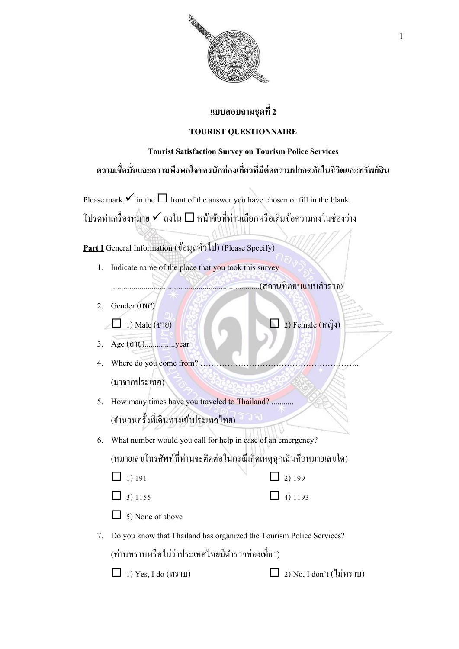

## **แบบสอบถามชุดที่2**

## **TOURIST QUESTIONNAIRE**

## **Tourist Satisfaction Survey on Tourism Police Services ความเชื่อมั่นและความพึงพอใจของนักท่องเที่ยวที่มีต่อความปลอดภัยในชีวิตและทรัพย์สิน**

Please mark  $\checkmark$  in the  $\Box$  front of the answer you have chosen or fill in the blank. โปรดทำเครื่องหมาย  $\checkmark$  ลงใน  $\Box$  หน้าข้อที่ท่านเลือกหรือเติมข้อความลงในช่องว่าง

**Part I** General Information (ขอ้มูลทวั่ ไป) (Please Specify)

1. Indicate name of the place that you took this survey

.........................................................................(สถำนที่ตอบแบบส ำรวจ)

2. Gender (เพศ)  $\Box$  1) Male (ชาย)  $\Box$  2) Female (หญิง)

3. Age (อำยุ)...............year

- 4. Where do you come from? .............. (มำจำกประเทศ)
- 5. How many times have you traveled to Thailand? ........... (จำนวนครั้งที่เดินทางเข้าประเทศไทย)
- 6. What number would you call for help in case of an emergency? (หมายเลขโทรศัพท์ที่ท่านจะติดต่อในกรณีเกิดเหตุฉุกเฉินคือหมายเลขใด)
	- $\Box$  1) 191  $\Box$  2) 199
	- $\Box$  3) 1155  $\Box$  4) 1193

 $\Box$  5) None of above

7. Do you know that Thailand has organized the Tourism Police Services?

้ (ท่านทราบหรือไม่ว่าประเทศไทยมีตำรวจท่องเที่ยว)

 $\Box$  1) Yes, I do (ทราบ)  $\Box$  2) No, I don't (ไม่ทราบ)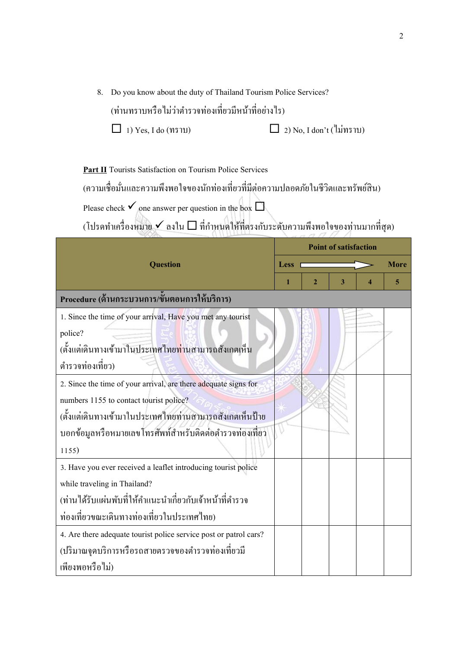8. Do you know about the duty of Thailand Tourism Police Services?

(ท่านทราบหรือไม่ว่าตำรวจท่องเที่ยวมีหน้าที่อย่างไร)

 $\Box$  1) Yes, I do (ทราบ)  $\Box$  2) No, I don't (ไม่ทราบ)

**Part II** Tourists Satisfaction on Tourism Police Services

(ความเชื่อมั่นและความพึงพอใจของนักท่องเที่ยวที่มีต่อความปลอดภัยในชีวิตและทรัพย์สิน)

Please check  $\checkmark$  one answer per question in the box  $\Box$ 

 $\tilde{a}$ (โปรดทำเครื่องหมาย  $\checkmark$  ลงใน  $\Box$  ที่กำหนดให้ที่ตรงกับระดับความพึงพอใจของท่านมากที่สุด)

|                                                                     | <b>Point of satisfaction</b> |              |   |   |             |
|---------------------------------------------------------------------|------------------------------|--------------|---|---|-------------|
| <b>Question</b>                                                     | <b>Less</b>                  |              |   |   | <b>More</b> |
|                                                                     | 1                            | $\mathbf{2}$ | 3 | 4 | 5           |
| Procedure (ด้านกระบวนการ/ขั้นตอนการให้บริการ)                       |                              |              |   |   |             |
| 1. Since the time of your arrival, Have you met any tourist         |                              |              |   |   |             |
| police?                                                             |                              |              |   |   |             |
| (ตั้งแต่เดินทางเข้ามาในประเทศไทย <mark>ท่า</mark> นสามารถสังเกตเห็น |                              |              |   |   |             |
| ตำรวจท่องเที่ยว)                                                    |                              |              |   |   |             |
| 2. Since the time of your arrival, are there adequate signs for     |                              |              |   |   |             |
| numbers 1155 to contact tourist police?                             |                              |              |   |   |             |
| (ตั้งแต่เดินทางเข้ามาในประเทศใทยท่านสามารถสังเกตเห็นป้าย            |                              |              |   |   |             |
| บอกข้อมูลหรือหมายเลขโทรศัพท์สำหรับติดต่อตำรวจท่องเที่ยว             |                              |              |   |   |             |
| 1155)                                                               |                              |              |   |   |             |
| 3. Have you ever received a leaflet introducing tourist police      |                              |              |   |   |             |
| while traveling in Thailand?                                        |                              |              |   |   |             |
| (ท่านใด้รับแผ่นพับที่ให้คำแนะนำเกี่ยวกับเจ้าหน้าที่ตำรวจ            |                              |              |   |   |             |
| ท่องเที่ยวขณะเดินทางท่องเที่ยวในประเทศไทย)                          |                              |              |   |   |             |
| 4. Are there adequate tourist police service post or patrol cars?   |                              |              |   |   |             |
| (ปริมาณจุดบริการหรือรถสายตรวจของตำรวจท่องเที่ยวมี                   |                              |              |   |   |             |
| เพียงพอหรือไม่)                                                     |                              |              |   |   |             |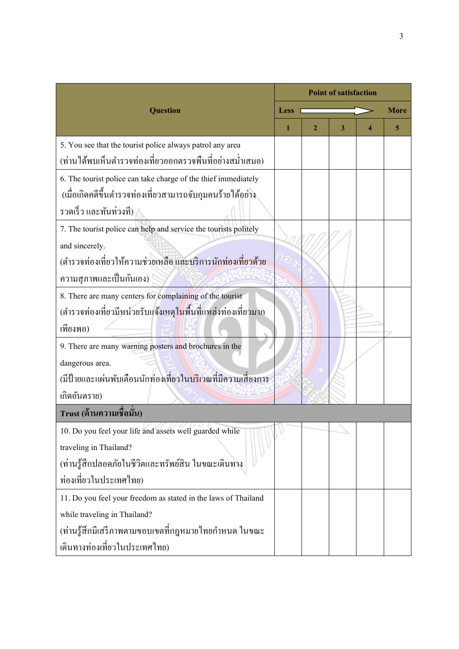|                                                                                   |      | <b>Point of satisfaction</b> |   |   |      |  |  |  |
|-----------------------------------------------------------------------------------|------|------------------------------|---|---|------|--|--|--|
| <b>Question</b>                                                                   | Less |                              |   |   | More |  |  |  |
|                                                                                   | 1    | 2                            | 3 | 4 | 5    |  |  |  |
| 5. You see that the tourist police always patrol any area                         |      |                              |   |   |      |  |  |  |
| (ท่านใด้พบเห็นตำรวจท่องเที่ยวออกตรวจพื้นที่อย่างสม่ำเสมอ)                         |      |                              |   |   |      |  |  |  |
| 6. The tourist police can take charge of the thief immediately                    |      |                              |   |   |      |  |  |  |
| (เมื่อเกิดกดีขึ้นตำรวจท่องเที่ยวสามารถจับกุมคนร้ายใด้อย่าง                        |      |                              |   |   |      |  |  |  |
| รวดเร็ว และทันท่วงที)                                                             |      |                              |   |   |      |  |  |  |
| 7. The tourist police can help and service the tourists politely                  |      |                              |   |   |      |  |  |  |
| and sincerely.                                                                    |      |                              |   |   |      |  |  |  |
| (ตำรวจท่องเที่ยวให้ความช่วยเหลือ และบริการนักท่องเที่ยวด้วย                       |      |                              |   |   |      |  |  |  |
| ความสุภาพและเป็นกันเอง)                                                           |      |                              |   |   |      |  |  |  |
| 8. There are many centers for complaining of the tourist                          |      |                              |   |   |      |  |  |  |
| (ตำรวจท่องเที่ยวมีหน่วยรับแจ้งเหตุในพื้นที่แหล่งท่องเที่ยวมาก                     |      |                              |   |   |      |  |  |  |
| เพียงพอ)                                                                          |      |                              |   |   |      |  |  |  |
| 9. There are many warning posters and brochures in the                            |      |                              |   |   |      |  |  |  |
| dangerous area.                                                                   |      |                              |   |   |      |  |  |  |
| ้<br>(มีป้ายและแผ่นพับเตือนนักท่องเที่ยวใน <mark>บริ</mark> เวณที่มีความเสี่ยงการ |      |                              |   |   |      |  |  |  |
| เกิดอันตราย)                                                                      |      |                              |   |   |      |  |  |  |
| Trust (ด้านความเชื่อมัน)                                                          |      |                              |   |   |      |  |  |  |
| 10. Do you feel your life and assets well guarded while                           |      |                              |   |   |      |  |  |  |
| traveling in Thailand?                                                            |      |                              |   |   |      |  |  |  |
| (ท่านรู้สึกปลอคภัยในชีวิตและทรัพย์สิน ในขณะเดินทาง                                |      |                              |   |   |      |  |  |  |
| ท่องเที่ยวในประเทศไทย)                                                            |      |                              |   |   |      |  |  |  |
| 11. Do you feel your freedom as stated in the laws of Thailand                    |      |                              |   |   |      |  |  |  |
| while traveling in Thailand?                                                      |      |                              |   |   |      |  |  |  |
| (ท่านรู้สึกมีเสรีภาพตามขอบเขตที่กฎหมายใทยกำหนด ในขณะ                              |      |                              |   |   |      |  |  |  |
| เดินทางท่องเที่ยวในประเทศไทย)                                                     |      |                              |   |   |      |  |  |  |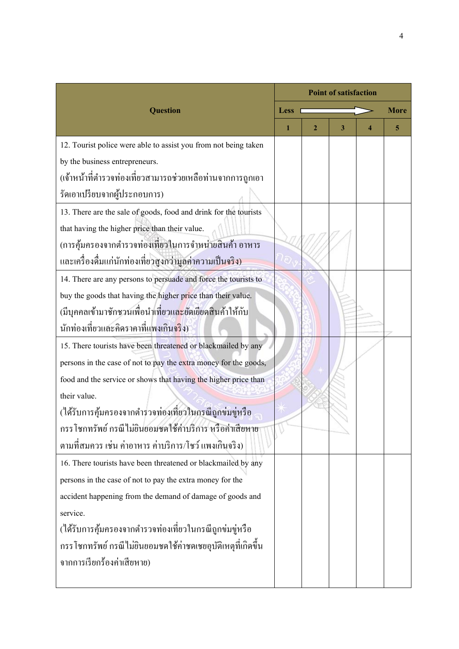|                                                                              | <b>Point of satisfaction</b> |              |   |   |             |
|------------------------------------------------------------------------------|------------------------------|--------------|---|---|-------------|
| <b>Question</b>                                                              | <b>Less</b>                  |              |   |   | <b>More</b> |
|                                                                              | 1                            | $\mathbf{2}$ | 3 | 4 | 5           |
| 12. Tourist police were able to assist you from not being taken              |                              |              |   |   |             |
| by the business entrepreneurs.                                               |                              |              |   |   |             |
| (เจ้าหน้าที่ตำรวจท่องเที่ยวสามารถช่วยเหลือท่านจากการถูกเอา                   |                              |              |   |   |             |
| รัคเอาเปรียบจากผู้ประกอบการ)                                                 |                              |              |   |   |             |
| 13. There are the sale of goods, food and drink for the tourists             |                              |              |   |   |             |
| that having the higher price than their value.                               |                              |              |   |   |             |
| (การคุ้มครองจากตำรวจท่องเที่ยวในการจำหน่ายสินค้า อาหาร                       |                              |              |   |   |             |
| และเครื่องดื่มแก่นักท่องเที่ยวสูงกว่ามูลค่าความเป็ <mark>นจริง)</mark>       |                              |              |   |   |             |
| 14. There are any persons to persuade and force the tourists to              |                              |              |   |   |             |
| buy the goods that having the higher price than their value.                 |                              |              |   |   |             |
| ้<br>(มีบุคคลเข้ามาชักชวนเพื่อนำเที่ยวแล <mark>ะ</mark> ยัดเยียดสินค้าให้กับ |                              |              |   |   |             |
| นักท่องเที่ยวและคิดราคาที่แพงเกิน <mark>จริ</mark> ง)                        |                              |              |   |   |             |
| 15. There tourists have been threatened or blackmailed by any                |                              |              |   |   |             |
| persons in the case of not to pay the extra money for the goods,             |                              |              |   |   |             |
| food and the service or shows that having the higher price than              |                              |              |   |   |             |
| their value.                                                                 |                              |              |   |   |             |
| (ใค้รับการคุ้มครองจากตำรวจท่องเที่ยวในกรณีถูกข่มขู่หรือ                      |                              |              |   |   |             |
| กรรโชกทรัพย์ กรณีไม่ยินยอมชดใช้ค่าบริการ หรือค่าเสียหาย                      |                              |              |   |   |             |
| ตามที่สมควร เช่น ค่าอาหาร ค่าบริการ/โชว์ แพงเกินจริง)                        |                              |              |   |   |             |
| 16. There tourists have been threatened or blackmailed by any                |                              |              |   |   |             |
| persons in the case of not to pay the extra money for the                    |                              |              |   |   |             |
| accident happening from the demand of damage of goods and                    |                              |              |   |   |             |
| service.                                                                     |                              |              |   |   |             |
| (ใค้รับการคุ้มครองจากตำรวจท่องเที่ยวในกรณีถูกข่มขู่หรือ                      |                              |              |   |   |             |
| กรรโชกทรัพย์ กรณีไม่ยินยอมชดใช้ค่าชดเชยอุบัติเหตุที่เกิดขึ้น                 |                              |              |   |   |             |
| จากการเรียกร้องค่าเสียหาย)                                                   |                              |              |   |   |             |
|                                                                              |                              |              |   |   |             |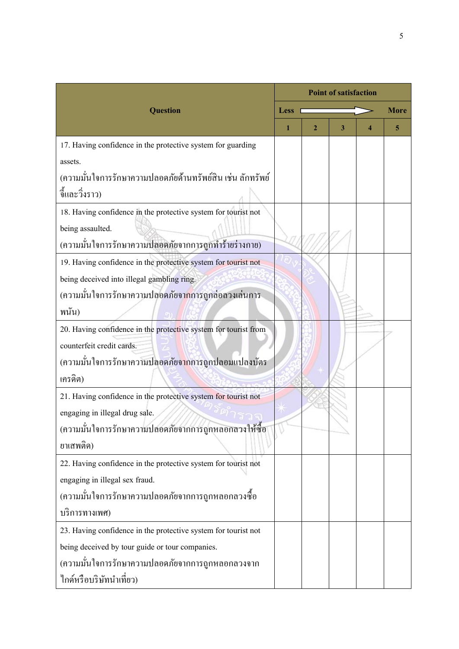|                                                                     | <b>Point of satisfaction</b> |   |   |  |      |
|---------------------------------------------------------------------|------------------------------|---|---|--|------|
| <b>Question</b>                                                     | <b>Less</b>                  |   |   |  | More |
|                                                                     | 1                            | 2 | 3 |  | 5    |
| 17. Having confidence in the protective system for guarding         |                              |   |   |  |      |
| assets.                                                             |                              |   |   |  |      |
| (ความมั่นใจการรักษาความปลอดภัยด้านทรัพย์สิน เช่น ลักทรัพย์          |                              |   |   |  |      |
| จี้และวิ่งราว)                                                      |                              |   |   |  |      |
| 18. Having confidence in the protective system for tourist not      |                              |   |   |  |      |
| being assaulted.                                                    |                              |   |   |  |      |
| (ความมั่นใจการรักษาความปลอดภัยจากการถูกทำร้ายร่างกาย)               |                              |   |   |  |      |
| 19. Having confidence in the protective system for tourist not      |                              |   |   |  |      |
| being deceived into illegal gambling ring.                          |                              |   |   |  |      |
| (ความมั่นใจการรักษาความปล <mark>อ</mark> ดภัยจากการถูกล่อลวงเล่นการ |                              |   |   |  |      |
| พนัน)                                                               |                              |   |   |  |      |
| 20. Having confidence in the protective system for tourist from     |                              |   |   |  |      |
| counterfeit credit cards.                                           |                              |   |   |  |      |
| (ความมั่นใจการรักษาความปลอดภัย <mark>จาก</mark> การถูกปลอมแปลงบัตร  |                              |   |   |  |      |
| เครดิต)                                                             |                              |   |   |  |      |
| 21. Having confidence in the protective system for tourist not      |                              |   |   |  |      |
| engaging in illegal drug sale.                                      |                              |   |   |  |      |
| (ความมั่นใจการรักษาความปลอดภัยจากการถูกหลอกลวงให้ซื้อ               |                              |   |   |  |      |
| ยาเสพติด)                                                           |                              |   |   |  |      |
| 22. Having confidence in the protective system for tourist not      |                              |   |   |  |      |
| engaging in illegal sex fraud.                                      |                              |   |   |  |      |
| (ความมั่นใจการรักษาความปลอดภัยจากการถูกหลอกลวงซื้อ                  |                              |   |   |  |      |
| บริการทางเพศ)                                                       |                              |   |   |  |      |
| 23. Having confidence in the protective system for tourist not      |                              |   |   |  |      |
| being deceived by tour guide or tour companies.                     |                              |   |   |  |      |
| (ความมั่นใจการรักษาความปลอดภัยจากการถูกหลอกลวงจาก                   |                              |   |   |  |      |
| ใกด์หรือบริษัทนำเที่ยว)                                             |                              |   |   |  |      |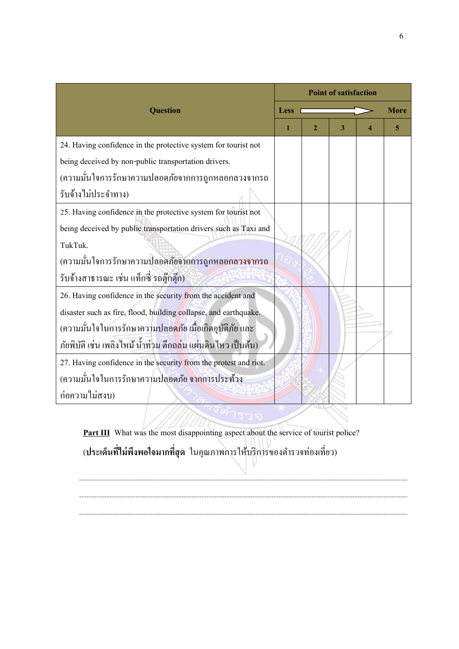|                                                                             |      | <b>Point of satisfaction</b> |   |  |      |  |  |
|-----------------------------------------------------------------------------|------|------------------------------|---|--|------|--|--|
| <b>Question</b>                                                             | Less |                              |   |  | More |  |  |
|                                                                             | 1    | $\mathbf 2$                  | 3 |  | 5    |  |  |
| 24. Having confidence in the protective system for tourist not              |      |                              |   |  |      |  |  |
| being deceived by non-public transportation drivers.                        |      |                              |   |  |      |  |  |
| (ความมั่นใจการรักษาความปลอดภัยจากการถูกหลอกลวงจากรถ                         |      |                              |   |  |      |  |  |
| รับจ้างไม่ประจำทาง)                                                         |      |                              |   |  |      |  |  |
| 25. Having confidence in the protective system for tourist not              |      |                              |   |  |      |  |  |
| being deceived by public transportation drivers such as Taxi and            |      |                              |   |  |      |  |  |
| TukTuk.                                                                     |      |                              |   |  |      |  |  |
| (ความมั่นใจการรักษาความปลอดภัยจากการถูกหลอกลวงจากรถ                         |      |                              |   |  |      |  |  |
| รับจ้างสาธารณะ เช่น แท็กซี่ รถตุ๊กตุ๊ก)                                     |      |                              |   |  |      |  |  |
| 26. Having confidence in the security from the accident and                 |      |                              |   |  |      |  |  |
| disaster such as fire, flood, building collapse, and earthquake.            |      |                              |   |  |      |  |  |
| (ความมั่นใจในการรักษาควา <mark>มปลอดภั</mark> ย เมื่อเกิดอุบัติภัย และ      |      |                              |   |  |      |  |  |
| ภัยพิบัติ เช่น เพลิงไหม้ น้ำท่วม ดึกถ <mark>ล่</mark> ม แผ่นดินไหว เป็นต้น) |      |                              |   |  |      |  |  |
| 27. Having confidence in the security from the protest and riot.            |      |                              |   |  |      |  |  |
| (ความมั่นใจในการรักษาความปลอดภัย <mark>จาก</mark> การประท้วง                |      |                              |   |  |      |  |  |
| ก่อความไม่สงบ)                                                              |      |                              |   |  |      |  |  |
|                                                                             |      |                              |   |  |      |  |  |

**Part III** What was the most disappointing aspect about the service of tourist police? (**ประเด็นทไี่ ม่พงึพอใจมากทสี่ ุด** ในคุณภำพกำรใหบ้ ริกำรของตำ รวจท่องเที่ยว)